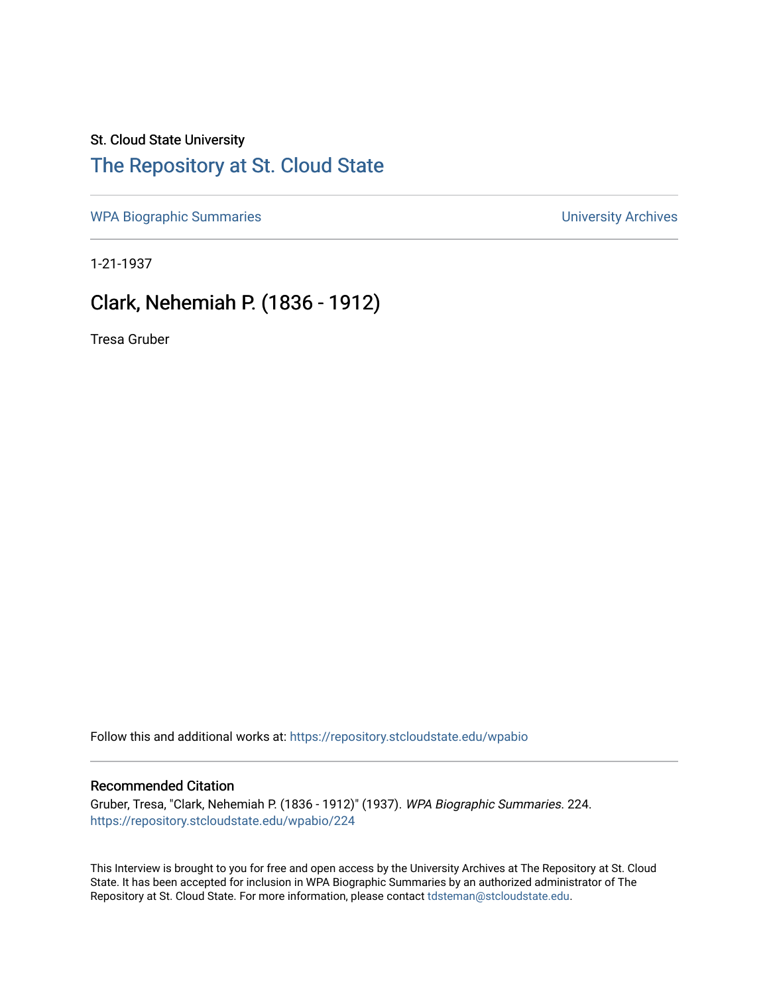### St. Cloud State University

# [The Repository at St. Cloud State](https://repository.stcloudstate.edu/)

[WPA Biographic Summaries](https://repository.stcloudstate.edu/wpabio) **WPA Biographic Summaries University Archives** 

1-21-1937

## Clark, Nehemiah P. (1836 - 1912)

Tresa Gruber

Follow this and additional works at: [https://repository.stcloudstate.edu/wpabio](https://repository.stcloudstate.edu/wpabio?utm_source=repository.stcloudstate.edu%2Fwpabio%2F224&utm_medium=PDF&utm_campaign=PDFCoverPages) 

#### Recommended Citation

Gruber, Tresa, "Clark, Nehemiah P. (1836 - 1912)" (1937). WPA Biographic Summaries. 224. [https://repository.stcloudstate.edu/wpabio/224](https://repository.stcloudstate.edu/wpabio/224?utm_source=repository.stcloudstate.edu%2Fwpabio%2F224&utm_medium=PDF&utm_campaign=PDFCoverPages) 

This Interview is brought to you for free and open access by the University Archives at The Repository at St. Cloud State. It has been accepted for inclusion in WPA Biographic Summaries by an authorized administrator of The Repository at St. Cloud State. For more information, please contact [tdsteman@stcloudstate.edu.](mailto:tdsteman@stcloudstate.edu)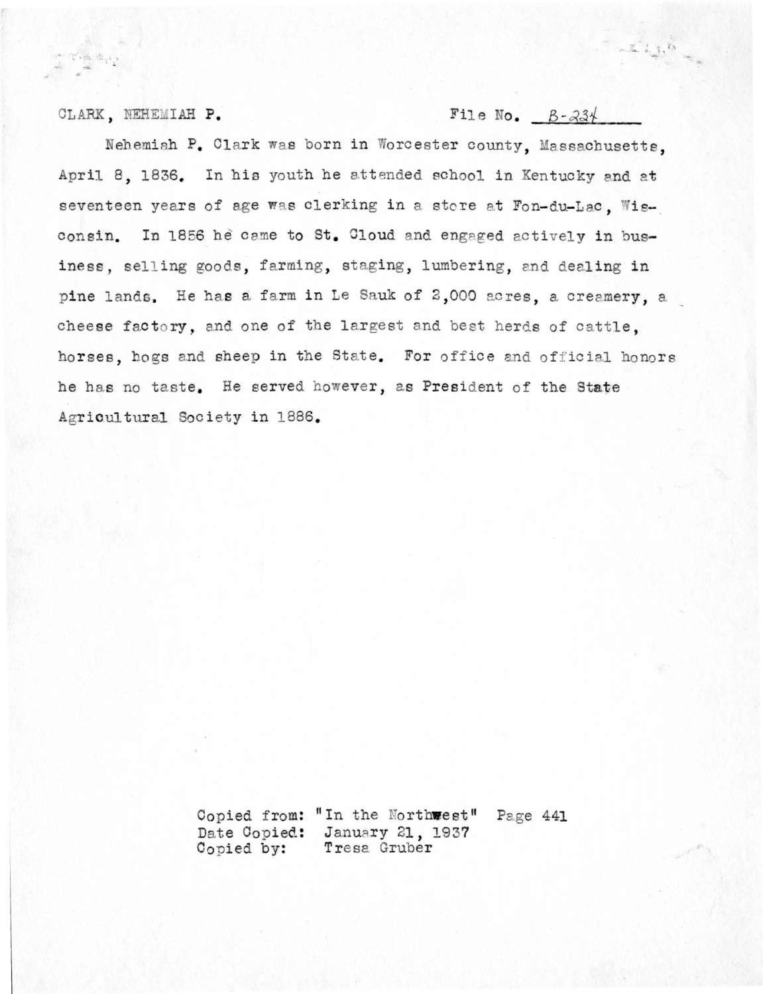#### CLARK, NEHEMIAH P.

wine Bullet

### File No.  $B - 234$

 $-\sum_{i=1}^{n}1_{i}x_{i}$ 

Nehemiah P. Clark was born in Worcester county, Massachusetts. April 8, 1836. In his youth he attended school in Kentucky and at seventeen years of age was clerking in a store at Fon-du-Lac. Wisconsin. In 1856 he came to St. Cloud and engaged actively in business, selling goods, farming, staging, lumbering, and dealing in pine lands. He has a farm in Le Sauk of 2,000 acres, a creamery, a cheese factory, and one of the largest and best herds of cattle. horses, hogs and sheep in the State. For office and official honors he has no taste. He served however, as President of the State Agricultural Society in 1886.

> Copied from: "In the Northwest" Page 441 Date Copied: January 21, 1937 Tresa Gruber Copied by: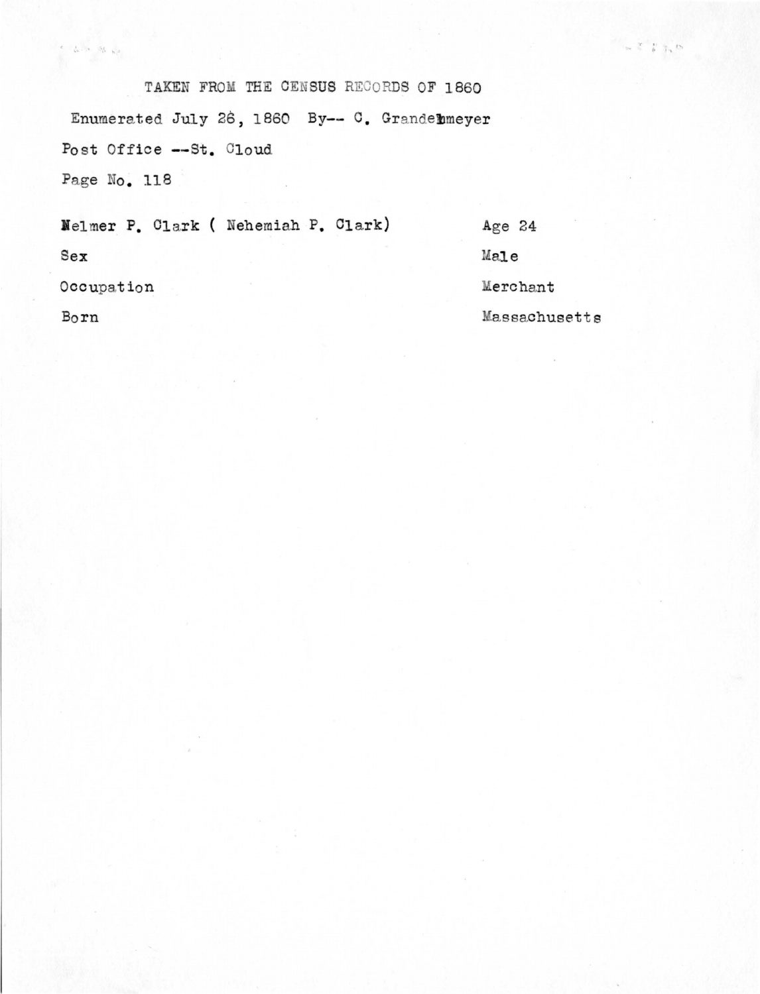TAKEN FROM THE CENSUS RECORDS OF 1860 Enumerated July 26, 1860 By-- C. Grandelmeyer Post Office -- St. Cloud Page No. 118

 $\label{eq:2.1} \frac{e}{\lambda}=\frac{1}{\lambda}e^{-\lambda}e^{-\lambda}\frac{\delta\lambda}{\lambda}=\frac{1}{\lambda}e^{-\lambda}$ 

Nelmer P. Clark ( Nehemiah P. Clark) Age  $24$ Male  $Sex$ Occupation Merchant Born Massachusetts  $\begin{array}{c|cc} \chi & \chi & \chi_1 \\ \chi & \chi & \chi_2 \end{array} \begin{array}{c} \chi_1 \\ \chi_2 \end{array} \begin{array}{c} \chi_2 \end{array}$